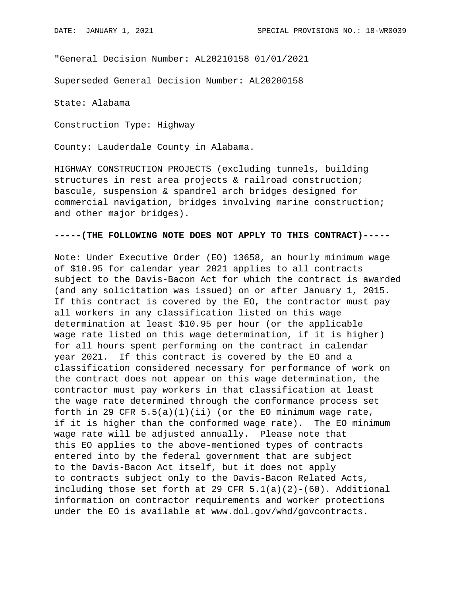"General Decision Number: AL20210158 01/01/2021

Superseded General Decision Number: AL20200158

State: Alabama

Construction Type: Highway

County: Lauderdale County in Alabama.

HIGHWAY CONSTRUCTION PROJECTS (excluding tunnels, building structures in rest area projects & railroad construction; bascule, suspension & spandrel arch bridges designed for commercial navigation, bridges involving marine construction; and other major bridges).

## **-----(THE FOLLOWING NOTE DOES NOT APPLY TO THIS CONTRACT)-----**

Note: Under Executive Order (EO) 13658, an hourly minimum wage of \$10.95 for calendar year 2021 applies to all contracts subject to the Davis-Bacon Act for which the contract is awarded (and any solicitation was issued) on or after January 1, 2015. If this contract is covered by the EO, the contractor must pay all workers in any classification listed on this wage determination at least \$10.95 per hour (or the applicable wage rate listed on this wage determination, if it is higher) for all hours spent performing on the contract in calendar year 2021. If this contract is covered by the EO and a classification considered necessary for performance of work on the contract does not appear on this wage determination, the contractor must pay workers in that classification at least the wage rate determined through the conformance process set forth in 29 CFR  $5.5(a)(1)(ii)$  (or the EO minimum wage rate, if it is higher than the conformed wage rate). The EO minimum wage rate will be adjusted annually. Please note that this EO applies to the above-mentioned types of contracts entered into by the federal government that are subject to the Davis-Bacon Act itself, but it does not apply to contracts subject only to the Davis-Bacon Related Acts, including those set forth at 29 CFR  $5.1(a)(2)-(60)$ . Additional information on contractor requirements and worker protections under the EO is available at www.dol.gov/whd/govcontracts.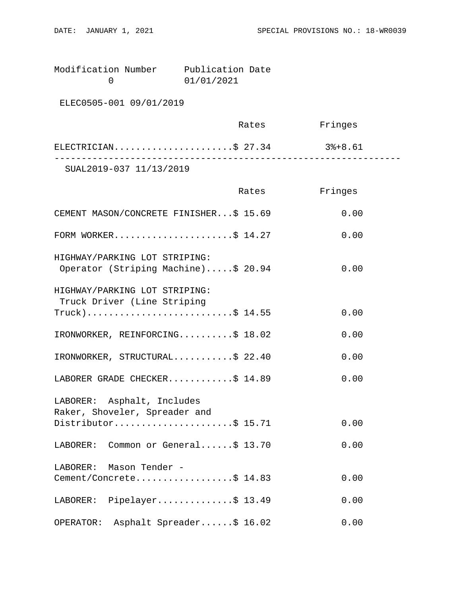Modification Number Publication Date<br>0 01/01/2021 0 01/01/2021

ELEC0505-001 09/01/2019

|                         | Rates | Fringes |  |
|-------------------------|-------|---------|--|
| ELECTRICIAN\$ 27.34     |       | 3%+8.61 |  |
| SUAL2019-037 11/13/2019 |       |         |  |

|                                                                      | Rates | Fringes |
|----------------------------------------------------------------------|-------|---------|
| CEMENT MASON/CONCRETE FINISHER\$ 15.69                               |       | 0.00    |
| FORM WORKER\$ $14.27$                                                |       | 0.00    |
| HIGHWAY/PARKING LOT STRIPING:<br>Operator (Striping Machine)\$ 20.94 |       | 0.00    |
| HIGHWAY/PARKING LOT STRIPING:<br>Truck Driver (Line Striping         |       |         |
| $True k)$ \$ 14.55                                                   |       | 0.00    |
| IRONWORKER, REINFORCING\$ 18.02                                      |       | 0.00    |
| IRONWORKER, STRUCTURAL\$ 22.40                                       |       | 0.00    |
| LABORER GRADE CHECKER\$ 14.89                                        |       | 0.00    |
| LABORER: Asphalt, Includes<br>Raker, Shoveler, Spreader and          |       |         |
| Distributor\$ 15.71                                                  |       | 0.00    |
| LABORER: Common or General\$ 13.70                                   |       | 0.00    |
| LABORER: Mason Tender -                                              |       |         |
| Cement/Concrete\$ 14.83                                              |       | 0.00    |
| LABORER: Pipelayer\$ 13.49                                           |       | 0.00    |
| Asphalt Spreader\$ 16.02<br>OPERATOR:                                |       | 0.00    |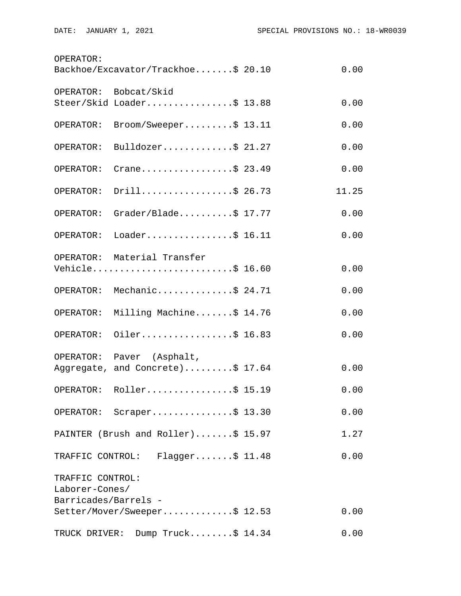| OPERATOR:                              | Backhoe/Excavator/Trackhoe\$ 20.10                    | 0.00  |
|----------------------------------------|-------------------------------------------------------|-------|
|                                        | OPERATOR: Bobcat/Skid<br>Steer/Skid Loader\$ 13.88    | 0.00  |
| OPERATOR:                              | $\texttt{Broom}/\texttt{Sweeper} \dots \dots \$ 13.11 | 0.00  |
|                                        |                                                       |       |
| OPERATOR:                              | Bulldozer\$ $21.27$                                   | 0.00  |
| OPERATOR:                              | Crane\$ 23.49                                         | 0.00  |
| OPERATOR:                              | Drill\$ 26.73                                         | 11.25 |
| OPERATOR:                              | Grader/Blade\$ 17.77                                  | 0.00  |
| OPERATOR:                              | Loader\$ 16.11                                        | 0.00  |
|                                        | OPERATOR: Material Transfer                           |       |
|                                        | Vehicle\$ 16.60                                       | 0.00  |
|                                        | OPERATOR: Mechanic\$ 24.71                            | 0.00  |
| OPERATOR:                              | Milling Machine\$ 14.76                               | 0.00  |
| OPERATOR:                              | Oiler\$ 16.83                                         | 0.00  |
|                                        | OPERATOR: Paver (Asphalt,                             |       |
|                                        | Aggregate, and Concrete)\$ 17.64                      | 0.00  |
|                                        | OPERATOR: Roller\$ 15.19                              | 0.00  |
|                                        | OPERATOR: Scraper\$ 13.30                             | 0.00  |
|                                        | PAINTER (Brush and Roller)\$ 15.97                    | 1.27  |
|                                        | TRAFFIC CONTROL: Flagger\$ 11.48                      | 0.00  |
| TRAFFIC CONTROL:                       |                                                       |       |
| Laborer-Cones/<br>Barricades/Barrels - |                                                       |       |
|                                        | Setter/Mover/Sweeper\$ 12.53                          | 0.00  |
|                                        | TRUCK DRIVER: Dump Truck\$ 14.34                      | 0.00  |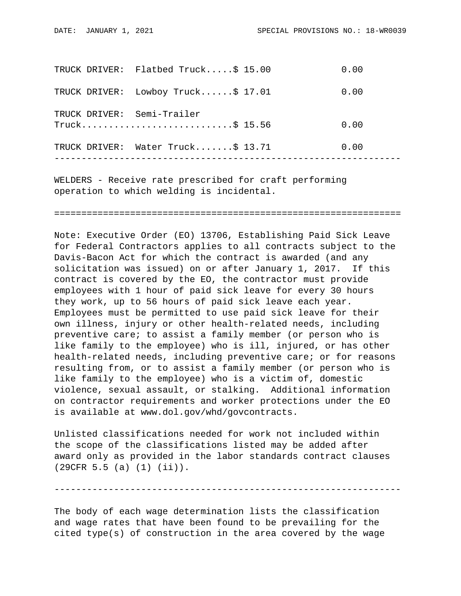|  | TRUCK DRIVER: Flatbed Truck\$ 15.00             | 0.00 |
|--|-------------------------------------------------|------|
|  | TRUCK DRIVER: Lowboy Truck\$ 17.01              | 0.00 |
|  | TRUCK DRIVER: Semi-Trailer<br>$True k$ \$ 15.56 | 0.00 |
|  | TRUCK DRIVER: Water Truck\$ 13.71               | 0.00 |
|  |                                                 |      |

WELDERS - Receive rate prescribed for craft performing operation to which welding is incidental.

================================================================

Note: Executive Order (EO) 13706, Establishing Paid Sick Leave for Federal Contractors applies to all contracts subject to the Davis-Bacon Act for which the contract is awarded (and any solicitation was issued) on or after January 1, 2017. If this contract is covered by the EO, the contractor must provide employees with 1 hour of paid sick leave for every 30 hours they work, up to 56 hours of paid sick leave each year. Employees must be permitted to use paid sick leave for their own illness, injury or other health-related needs, including preventive care; to assist a family member (or person who is like family to the employee) who is ill, injured, or has other health-related needs, including preventive care; or for reasons resulting from, or to assist a family member (or person who is like family to the employee) who is a victim of, domestic violence, sexual assault, or stalking. Additional information on contractor requirements and worker protections under the EO is available at www.dol.gov/whd/govcontracts.

Unlisted classifications needed for work not included within the scope of the classifications listed may be added after award only as provided in the labor standards contract clauses (29CFR 5.5 (a) (1) (ii)).

----------------------------------------------------------------

The body of each wage determination lists the classification and wage rates that have been found to be prevailing for the cited type(s) of construction in the area covered by the wage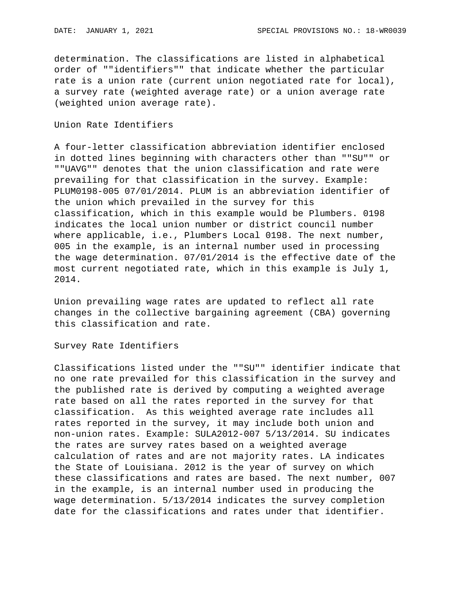determination. The classifications are listed in alphabetical order of ""identifiers"" that indicate whether the particular rate is a union rate (current union negotiated rate for local), a survey rate (weighted average rate) or a union average rate (weighted union average rate).

## Union Rate Identifiers

A four-letter classification abbreviation identifier enclosed in dotted lines beginning with characters other than ""SU"" or ""UAVG"" denotes that the union classification and rate were prevailing for that classification in the survey. Example: PLUM0198-005 07/01/2014. PLUM is an abbreviation identifier of the union which prevailed in the survey for this classification, which in this example would be Plumbers. 0198 indicates the local union number or district council number where applicable, i.e., Plumbers Local 0198. The next number, 005 in the example, is an internal number used in processing the wage determination. 07/01/2014 is the effective date of the most current negotiated rate, which in this example is July 1, 2014.

Union prevailing wage rates are updated to reflect all rate changes in the collective bargaining agreement (CBA) governing this classification and rate.

Survey Rate Identifiers

Classifications listed under the ""SU"" identifier indicate that no one rate prevailed for this classification in the survey and the published rate is derived by computing a weighted average rate based on all the rates reported in the survey for that classification. As this weighted average rate includes all rates reported in the survey, it may include both union and non-union rates. Example: SULA2012-007 5/13/2014. SU indicates the rates are survey rates based on a weighted average calculation of rates and are not majority rates. LA indicates the State of Louisiana. 2012 is the year of survey on which these classifications and rates are based. The next number, 007 in the example, is an internal number used in producing the wage determination. 5/13/2014 indicates the survey completion date for the classifications and rates under that identifier.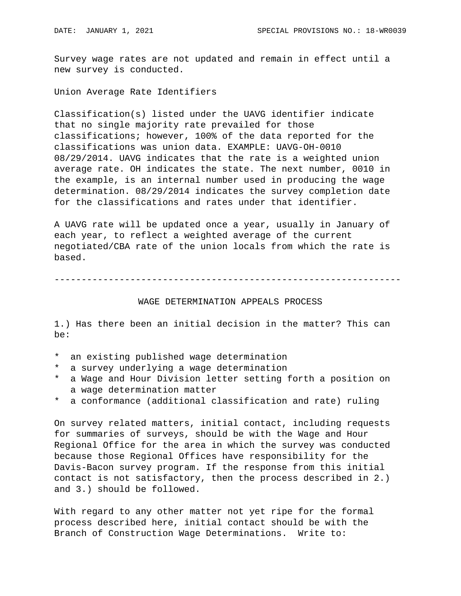Survey wage rates are not updated and remain in effect until a new survey is conducted.

Union Average Rate Identifiers

Classification(s) listed under the UAVG identifier indicate that no single majority rate prevailed for those classifications; however, 100% of the data reported for the classifications was union data. EXAMPLE: UAVG-OH-0010 08/29/2014. UAVG indicates that the rate is a weighted union average rate. OH indicates the state. The next number, 0010 in the example, is an internal number used in producing the wage determination. 08/29/2014 indicates the survey completion date for the classifications and rates under that identifier.

A UAVG rate will be updated once a year, usually in January of each year, to reflect a weighted average of the current negotiated/CBA rate of the union locals from which the rate is based.

----------------------------------------------------------------

## WAGE DETERMINATION APPEALS PROCESS

1.) Has there been an initial decision in the matter? This can be:

- \* an existing published wage determination
- \* a survey underlying a wage determination
- \* a Wage and Hour Division letter setting forth a position on a wage determination matter
- \* a conformance (additional classification and rate) ruling

On survey related matters, initial contact, including requests for summaries of surveys, should be with the Wage and Hour Regional Office for the area in which the survey was conducted because those Regional Offices have responsibility for the Davis-Bacon survey program. If the response from this initial contact is not satisfactory, then the process described in 2.) and 3.) should be followed.

With regard to any other matter not yet ripe for the formal process described here, initial contact should be with the Branch of Construction Wage Determinations. Write to: